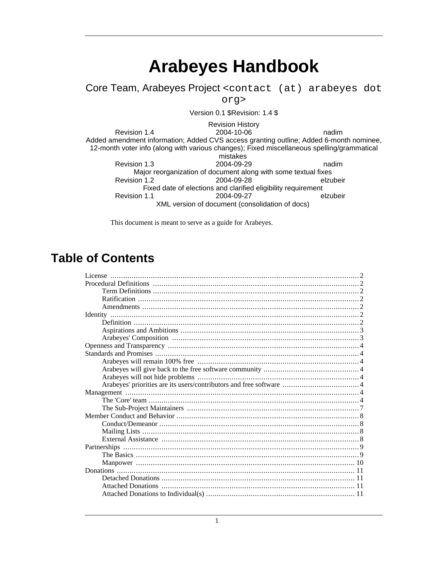# **Arabeyes Handbook**

Core Team, Arabeyes Project <contact (at) arabeyes dot

org>

Version 0.1 \$Revision: 1.4 \$

**Revision History** Revision 1.4 2004-10-06 nadim Added amendment information; Added CVS access granting outline; Added 6-month nominee, 12-month voter info (along with various changes); Fixed miscellaneous spelling/grammatical mistakes Revision 1.3 2004-09-29 nadim Major reorganization of document along with some textual fixes Revision 1.2 2004-09-28 elzubeir Fixed date of elections and clarified eligibility requirement Revision 1.1 2004-09-27 elzubeir XML version of document (consolidation of docs)

This document is meant to serve as a guide for Arabeyes.

### **Table of Contents**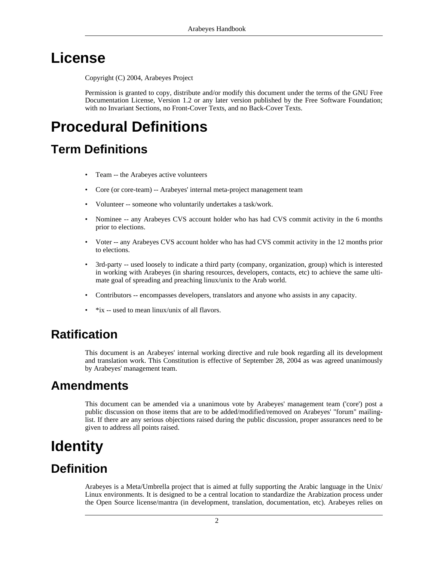# **License**

<span id="page-1-0"></span>Copyright (C) 2004, Arabeyes Project

<span id="page-1-1"></span>Permission is granted to copy, distribute and/or modify this document under the terms of the GNU Free Documentation License, Version 1.2 or any later version published by the Free Software Foundation; with no Invariant Sections, no Front-Cover Texts, and no Back-Cover Texts.

# **Procedural Definitions**

### <span id="page-1-2"></span>**Term Definitions**

- Team -- the Arabeyes active volunteers
- Core (or core-team) -- Arabeyes' internal meta-project management team
- Volunteer -- someone who voluntarily undertakes a task/work.
- Nominee -- any Arabeyes CVS account holder who has had CVS commit activity in the 6 months prior to elections.
- Voter -- any Arabeyes CVS account holder who has had CVS commit activity in the 12 months prior to elections.
- 3rd-party -- used loosely to indicate a third party (company, organization, group) which is interested in working with Arabeyes (in sharing resources, developers, contacts, etc) to achieve the same ultimate goal of spreading and preaching linux/unix to the Arab world.
- Contributors -- encompasses developers, translators and anyone who assists in any capacity.
- <span id="page-1-3"></span> $*$ ix -- used to mean linux/unix of all flavors.

### **Ratification**

<span id="page-1-4"></span>This document is an Arabeyes' internal working directive and rule book regarding all its development and translation work. This Constitution is effective of September 28, 2004 as was agreed unanimously by Arabeyes' management team.

### **Amendments**

<span id="page-1-5"></span>This document can be amended via a unanimous vote by Arabeyes' management team ('core') post a public discussion on those items that are to be added/modified/removed on Arabeyes' "forum" mailinglist. If there are any serious objections raised during the public discussion, proper assurances need to be given to address all points raised.

# **Identity**

### **Definition**

<span id="page-1-6"></span>Arabeyes is a Meta/Umbrella project that is aimed at fully supporting the Arabic language in the Unix/ Linux environments. It is designed to be a central location to standardize the Arabization process under the Open Source license/mantra (in development, translation, documentation, etc). Arabeyes relies on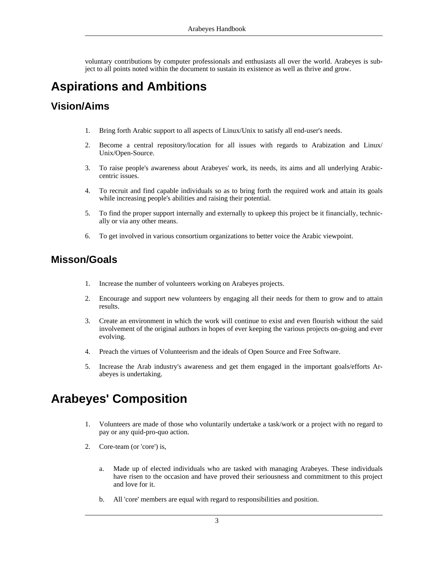<span id="page-2-0"></span>voluntary contributions by computer professionals and enthusiasts all over the world. Arabeyes is subject to all points noted within the document to sustain its existence as well as thrive and grow.

### **Aspirations and Ambitions**

#### **Vision/Aims**

- 1. Bring forth Arabic support to all aspects of Linux/Unix to satisfy all end-user's needs.
- 2. Become a central repository/location for all issues with regards to Arabization and Linux/ Unix/Open-Source.
- 3. To raise people's awareness about Arabeyes' work, its needs, its aims and all underlying Arabiccentric issues.
- 4. To recruit and find capable individuals so as to bring forth the required work and attain its goals while increasing people's abilities and raising their potential.
- 5. To find the proper support internally and externally to upkeep this project be it financially, technically or via any other means.
- 6. To get involved in various consortium organizations to better voice the Arabic viewpoint.

#### **Misson/Goals**

- 1. Increase the number of volunteers working on Arabeyes projects.
- 2. Encourage and support new volunteers by engaging all their needs for them to grow and to attain results.
- 3. Create an environment in which the work will continue to exist and even flourish without the said involvement of the original authors in hopes of ever keeping the various projects on-going and ever evolving.
- 4. Preach the virtues of Volunteerism and the ideals of Open Source and Free Software.
- <span id="page-2-1"></span>5. Increase the Arab industry's awareness and get them engaged in the important goals/efforts Arabeyes is undertaking.

### **Arabeyes' Composition**

- 1. Volunteers are made of those who voluntarily undertake a task/work or a project with no regard to pay or any quid-pro-quo action.
- 2. Core-team (or 'core') is,
	- a. Made up of elected individuals who are tasked with managing Arabeyes. These individuals have risen to the occasion and have proved their seriousness and commitment to this project and love for it.
	- b. All 'core' members are equal with regard to responsibilities and position.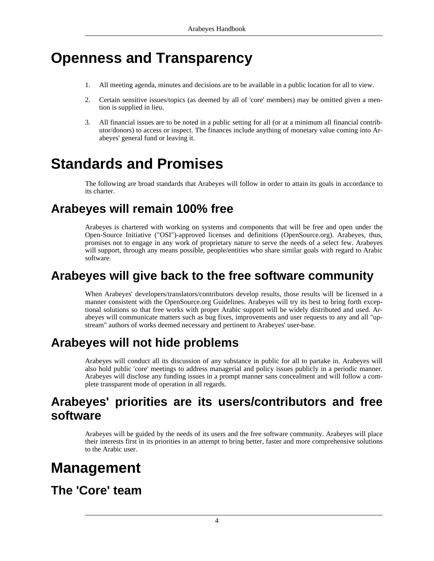## <span id="page-3-0"></span>**Openness and Transparency**

- 1. All meeting agenda, minutes and decisions are to be available in a public location for all to view.
- 2. Certain sensitive issues/topics (as deemed by all of 'core' members) may be omitted given a mention is supplied in lieu.
- <span id="page-3-1"></span>3. All financial issues are to be noted in a public setting for all (or at a minimum all financial contributor/donors) to access or inspect. The finances include anything of monetary value coming into Arabeyes' general fund or leaving it.

# **Standards and Promises**

<span id="page-3-2"></span>The following are broad standards that Arabeyes will follow in order to attain its goals in accordance to its charter.

### **Arabeyes will remain 100% free**

Arabeyes is chartered with working on systems and components that will be free and open under the Open-Source Initiative ("OSI")-approved licenses and definitions (OpenSource.org). Arabeyes, thus, promises not to engage in any work of proprietary nature to serve the needs of a select few. Arabeyes will support, through any means possible, people/entities who share similar goals with regard to Arabic software.

### **Arabeyes will give back to the free software community**

<span id="page-3-3"></span>When Arabeyes' developers/translators/contributors develop results, those results will be licensed in a manner consistent with the OpenSource.org Guidelines. Arabeyes will try its best to bring forth exceptional solutions so that free works with proper Arabic support will be widely distributed and used. Arabeyes will communicate matters such as bug fixes, improvements and user requests to any and all "upstream" authors of works deemed necessary and pertinent to Arabeyes' user-base.

### **Arabeyes will not hide problems**

<span id="page-3-5"></span><span id="page-3-4"></span>Arabeyes will conduct all its discussion of any substance in public for all to partake in. Arabeyes will also hold public 'core' meetings to address managerial and policy issues publicly in a periodic manner. Arabeyes will disclose any funding issues in a prompt manner sans concealment and will follow a complete transparent mode of operation in all regards.

### **Arabeyes' priorities are its users/contributors and free software**

<span id="page-3-6"></span>Arabeyes will be guided by the needs of its users and the free software community. Arabeyes will place their interests first in its priorities in an attempt to bring better, faster and more comprehensive solutions to the Arabic user.

## **Management**

### <span id="page-3-7"></span>**The 'Core' team**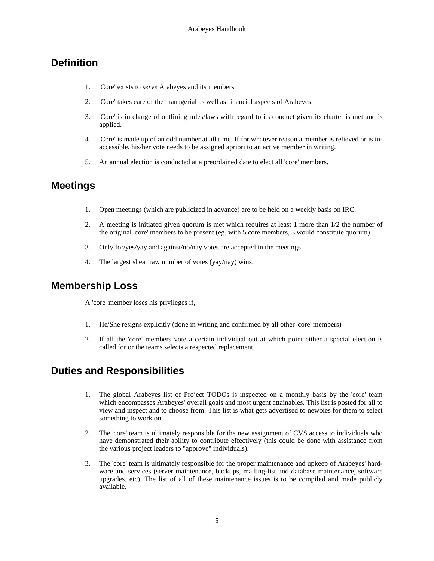#### **Definition**

- 1. 'Core' exists to *serve* Arabeyes and its members.
- 2. 'Core' takes care of the managerial as well as financial aspects of Arabeyes.
- 3. 'Core' is in charge of outlining rules/laws with regard to its conduct given its charter is met and is applied.
- 4. 'Core' is made up of an odd number at all time. If for whatever reason a member is relieved or is inaccessible, his/her vote needs to be assigned apriori to an active member in writing.
- 5. An annual election is conducted at a preordained date to elect all 'core' members.

#### **Meetings**

- 1. Open meetings (which are publicized in advance) are to be held on a weekly basis on IRC.
- 2. A meeting is initiated given quorum is met which requires at least 1 more than 1/2 the number of the original 'core' members to be present (eg. with 5 core members, 3 would constitute quorum).
- 3. Only for/yes/yay and against/no/nay votes are accepted in the meetings.
- 4. The largest shear raw number of votes (yay/nay) wins.

#### **Membership Loss**

A 'core' member loses his privileges if,

- 1. He/She resigns explicitly (done in writing and confirmed by all other 'core' members)
- 2. If all the 'core' members vote a certain individual out at which point either a special election is called for or the teams selects a respected replacement.

#### **Duties and Responsibilities**

- 1. The global Arabeyes list of Project TODOs is inspected on a monthly basis by the 'core' team which encompasses Arabeyes' overall goals and most urgent attainables. This list is posted for all to view and inspect and to choose from. This list is what gets advertised to newbies for them to select something to work on.
- 2. The 'core' team is ultimately responsible for the new assignment of CVS access to individuals who have demonstrated their ability to contribute effectively (this could be done with assistance from the various project leaders to "approve" individuals).
- 3. The 'core' team is ultimately responsible for the proper maintenance and upkeep of Arabeyes' hardware and services (server maintenance, backups, mailing-list and database maintenance, software upgrades, etc). The list of all of these maintenance issues is to be compiled and made publicly available.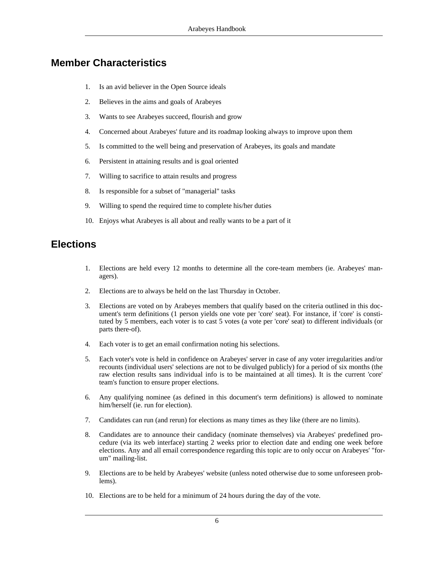#### **Member Characteristics**

- 1. Is an avid believer in the Open Source ideals
- 2. Believes in the aims and goals of Arabeyes
- 3. Wants to see Arabeyes succeed, flourish and grow
- 4. Concerned about Arabeyes' future and its roadmap looking always to improve upon them
- 5. Is committed to the well being and preservation of Arabeyes, its goals and mandate
- 6. Persistent in attaining results and is goal oriented
- 7. Willing to sacrifice to attain results and progress
- 8. Is responsible for a subset of "managerial" tasks
- 9. Willing to spend the required time to complete his/her duties
- 10. Enjoys what Arabeyes is all about and really wants to be a part of it

#### **Elections**

- 1. Elections are held every 12 months to determine all the core-team members (ie. Arabeyes' managers).
- 2. Elections are to always be held on the last Thursday in October.
- 3. Elections are voted on by Arabeyes members that qualify based on the criteria outlined in this document's term definitions (1 person yields one vote per 'core' seat). For instance, if 'core' is constituted by 5 members, each voter is to cast 5 votes (a vote per 'core' seat) to different individuals (or parts there-of).
- 4. Each voter is to get an email confirmation noting his selections.
- 5. Each voter's vote is held in confidence on Arabeyes' server in case of any voter irregularities and/or recounts (individual users' selections are not to be divulged publicly) for a period of six months (the raw election results sans individual info is to be maintained at all times). It is the current 'core' team's function to ensure proper elections.
- 6. Any qualifying nominee (as defined in this document's term definitions) is allowed to nominate him/herself (ie. run for election).
- 7. Candidates can run (and rerun) for elections as many times as they like (there are no limits).
- 8. Candidates are to announce their candidacy (nominate themselves) via Arabeyes' predefined procedure (via its web interface) starting 2 weeks prior to election date and ending one week before elections. Any and all email correspondence regarding this topic are to only occur on Arabeyes' "forum" mailing-list.
- 9. Elections are to be held by Arabeyes' website (unless noted otherwise due to some unforeseen problems).
- 10. Elections are to be held for a minimum of 24 hours during the day of the vote.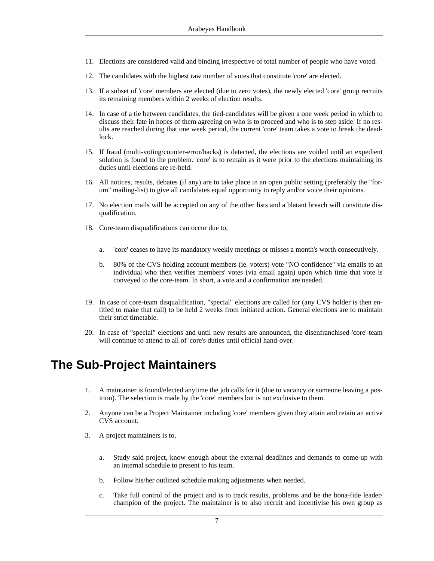- 11. Elections are considered valid and binding irrespective of total number of people who have voted.
- 12. The candidates with the highest raw number of votes that constitute 'core' are elected.
- 13. If a subset of 'core' members are elected (due to zero votes), the newly elected 'core' group recruits its remaining members within 2 weeks of election results.
- 14. In case of a tie between candidates, the tied-candidates will be given a one week period in which to discuss their fate in hopes of them agreeing on who is to proceed and who is to step aside. If no results are reached during that one week period, the current 'core' team takes a vote to break the deadlock.
- 15. If fraud (multi-voting/counter-error/hacks) is detected, the elections are voided until an expedient solution is found to the problem. 'core' is to remain as it were prior to the elections maintaining its duties until elections are re-held.
- 16. All notices, results, debates (if any) are to take place in an open public setting (preferably the "forum" mailing-list) to give all candidates equal opportunity to reply and/or voice their opinions.
- 17. No election mails will be accepted on any of the other lists and a blatant breach will constitute disqualification.
- 18. Core-team disqualifications can occur due to,
	- a. 'core' ceases to have its mandatory weekly meetings or misses a month's worth consecutively.
	- b. 80% of the CVS holding account members (ie. voters) vote "NO confidence" via emails to an individual who then verifies members' votes (via email again) upon which time that vote is conveyed to the core-team. In short, a vote and a confirmation are needed.
- 19. In case of core-team disqualification, "special" elections are called for (any CVS holder is then entitled to make that call) to be held 2 weeks from initiated action. General elections are to maintain their strict timetable.
- <span id="page-6-0"></span>20. In case of "special" elections and until new results are announced, the disenfranchised 'core' team will continue to attend to all of 'core's duties until official hand-over.

### **The Sub-Project Maintainers**

- 1. A maintainer is found/elected anytime the job calls for it (due to vacancy or someone leaving a position). The selection is made by the 'core' members but is not exclusive to them.
- 2. Anyone can be a Project Maintainer including 'core' members given they attain and retain an active CVS account.
- 3. A project maintainers is to,
	- a. Study said project, know enough about the external deadlines and demands to come-up with an internal schedule to present to his team.
	- b. Follow his/her outlined schedule making adjustments when needed.
	- c. Take full control of the project and is to track results, problems and be the bona-fide leader/ champion of the project. The maintainer is to also recruit and incentivise his own group as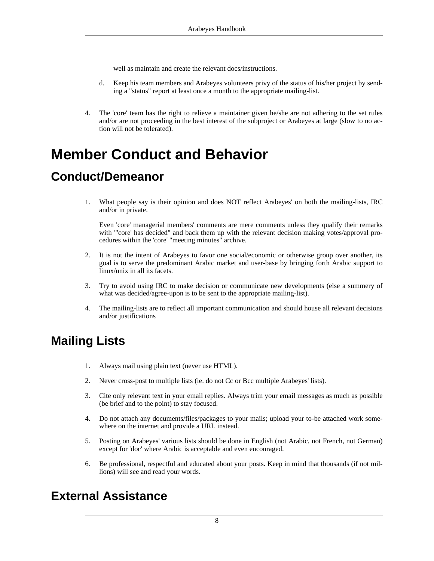well as maintain and create the relevant docs/instructions.

- d. Keep his team members and Arabeyes volunteers privy of the status of his/her project by sending a "status" report at least once a month to the appropriate mailing-list.
- <span id="page-7-0"></span>4. The 'core' team has the right to relieve a maintainer given he/she are not adhering to the set rules and/or are not proceeding in the best interest of the subproject or Arabeyes at large (slow to no action will not be tolerated).

# **Member Conduct and Behavior**

### <span id="page-7-1"></span>**Conduct/Demeanor**

1. What people say is their opinion and does NOT reflect Arabeyes' on both the mailing-lists, IRC and/or in private.

Even 'core' managerial members' comments are mere comments unless they qualify their remarks with "'core' has decided" and back them up with the relevant decision making votes/approval procedures within the 'core' "meeting minutes" archive.

- 2. It is not the intent of Arabeyes to favor one social/economic or otherwise group over another, its goal is to serve the predominant Arabic market and user-base by bringing forth Arabic support to linux/unix in all its facets.
- 3. Try to avoid using IRC to make decision or communicate new developments (else a summery of what was decided/agree-upon is to be sent to the appropriate mailing-list).
- <span id="page-7-2"></span>4. The mailing-lists are to reflect all important communication and should house all relevant decisions and/or justifications

### **Mailing Lists**

- 1. Always mail using plain text (never use HTML).
- 2. Never cross-post to multiple lists (ie. do not Cc or Bcc multiple Arabeyes' lists).
- 3. Cite only relevant text in your email replies. Always trim your email messages as much as possible (be brief and to the point) to stay focused.
- 4. Do not attach any documents/files/packages to your mails; upload your to-be attached work somewhere on the internet and provide a URL instead.
- 5. Posting on Arabeyes' various lists should be done in English (not Arabic, not French, not German) except for 'doc' where Arabic is acceptable and even encouraged.
- <span id="page-7-3"></span>6. Be professional, respectful and educated about your posts. Keep in mind that thousands (if not millions) will see and read your words.

#### **External Assistance**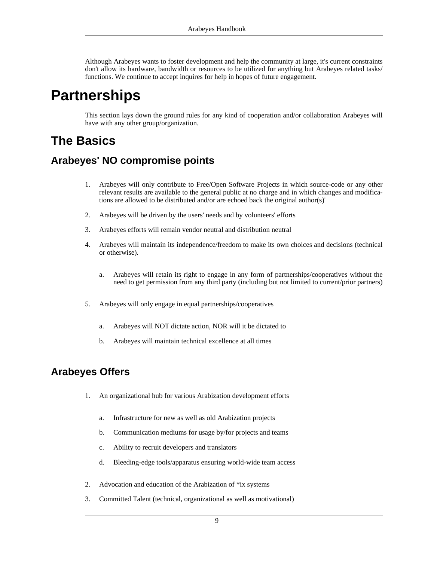<span id="page-8-0"></span>Although Arabeyes wants to foster development and help the community at large, it's current constraints don't allow its hardware, bandwidth or resources to be utilized for anything but Arabeyes related tasks/ functions. We continue to accept inquires for help in hopes of future engagement.

# **Partnerships**

<span id="page-8-1"></span>This section lays down the ground rules for any kind of cooperation and/or collaboration Arabeyes will have with any other group/organization.

### **The Basics**

#### **Arabeyes' NO compromise points**

- 1. Arabeyes will only contribute to Free/Open Software Projects in which source-code or any other relevant results are available to the general public at no charge and in which changes and modifications are allowed to be distributed and/or are echoed back the original author(s)'
- 2. Arabeyes will be driven by the users' needs and by volunteers' efforts
- 3. Arabeyes efforts will remain vendor neutral and distribution neutral
- 4. Arabeyes will maintain its independence/freedom to make its own choices and decisions (technical or otherwise).
	- a. Arabeyes will retain its right to engage in any form of partnerships/cooperatives without the need to get permission from any third party (including but not limited to current/prior partners)
- 5. Arabeyes will only engage in equal partnerships/cooperatives
	- a. Arabeyes will NOT dictate action, NOR will it be dictated to
	- b. Arabeyes will maintain technical excellence at all times

#### **Arabeyes Offers**

- 1. An organizational hub for various Arabization development efforts
	- a. Infrastructure for new as well as old Arabization projects
	- b. Communication mediums for usage by/for projects and teams
	- c. Ability to recruit developers and translators
	- d. Bleeding-edge tools/apparatus ensuring world-wide team access
- 2. Advocation and education of the Arabization of \*ix systems
- 3. Committed Talent (technical, organizational as well as motivational)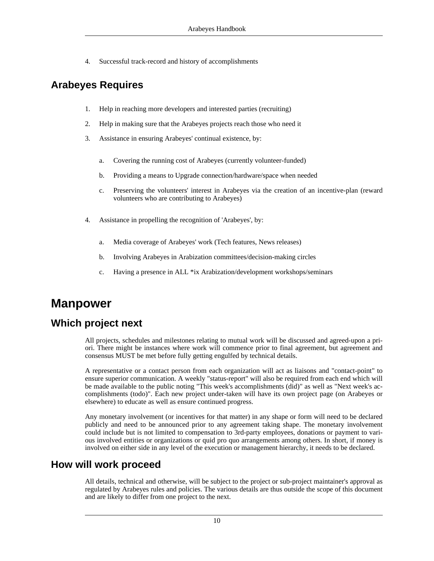4. Successful track-record and history of accomplishments

### **Arabeyes Requires**

- 1. Help in reaching more developers and interested parties (recruiting)
- 2. Help in making sure that the Arabeyes projects reach those who need it
- 3. Assistance in ensuring Arabeyes' continual existence, by:
	- a. Covering the running cost of Arabeyes (currently volunteer-funded)
	- b. Providing a means to Upgrade connection/hardware/space when needed
	- c. Preserving the volunteers' interest in Arabeyes via the creation of an incentive-plan (reward volunteers who are contributing to Arabeyes)
- 4. Assistance in propelling the recognition of 'Arabeyes', by:
	- a. Media coverage of Arabeyes' work (Tech features, News releases)
	- b. Involving Arabeyes in Arabization committees/decision-making circles
	- c. Having a presence in ALL \*ix Arabization/development workshops/seminars

### <span id="page-9-0"></span>**Manpower**

#### **Which project next**

All projects, schedules and milestones relating to mutual work will be discussed and agreed-upon a priori. There might be instances where work will commence prior to final agreement, but agreement and consensus MUST be met before fully getting engulfed by technical details.

A representative or a contact person from each organization will act as liaisons and "contact-point" to ensure superior communication. A weekly "status-report" will also be required from each end which will be made available to the public noting "This week's accomplishments (did)" as well as "Next week's accomplishments (todo)". Each new project under-taken will have its own project page (on Arabeyes or elsewhere) to educate as well as ensure continued progress.

Any monetary involvement (or incentives for that matter) in any shape or form will need to be declared publicly and need to be announced prior to any agreement taking shape. The monetary involvement could include but is not limited to compensation to 3rd-party employees, donations or payment to various involved entities or organizations or quid pro quo arrangements among others. In short, if money is involved on either side in any level of the execution or management hierarchy, it needs to be declared.

#### **How will work proceed**

All details, technical and otherwise, will be subject to the project or sub-project maintainer's approval as regulated by Arabeyes rules and policies. The various details are thus outside the scope of this document and are likely to differ from one project to the next.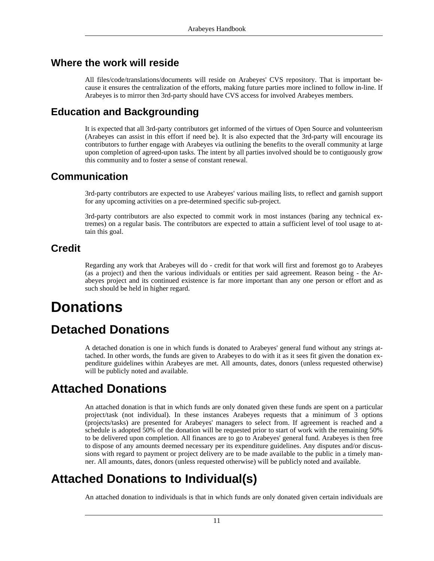#### **Where the work will reside**

All files/code/translations/documents will reside on Arabeyes' CVS repository. That is important because it ensures the centralization of the efforts, making future parties more inclined to follow in-line. If Arabeyes is to mirror then 3rd-party should have CVS access for involved Arabeyes members.

#### **Education and Backgrounding**

It is expected that all 3rd-party contributors get informed of the virtues of Open Source and volunteerism (Arabeyes can assist in this effort if need be). It is also expected that the 3rd-party will encourage its contributors to further engage with Arabeyes via outlining the benefits to the overall community at large upon completion of agreed-upon tasks. The intent by all parties involved should be to contiguously grow this community and to foster a sense of constant renewal.

#### **Communication**

3rd-party contributors are expected to use Arabeyes' various mailing lists, to reflect and garnish support for any upcoming activities on a pre-determined specific sub-project.

3rd-party contributors are also expected to commit work in most instances (baring any technical extremes) on a regular basis. The contributors are expected to attain a sufficient level of tool usage to attain this goal.

#### **Credit**

<span id="page-10-0"></span>Regarding any work that Arabeyes will do - credit for that work will first and foremost go to Arabeyes (as a project) and then the various individuals or entities per said agreement. Reason being - the Arabeyes project and its continued existence is far more important than any one person or effort and as such should be held in higher regard.

# **Donations**

### **Detached Donations**

<span id="page-10-2"></span><span id="page-10-1"></span>A detached donation is one in which funds is donated to Arabeyes' general fund without any strings attached. In other words, the funds are given to Arabeyes to do with it as it sees fit given the donation expenditure guidelines within Arabeyes are met. All amounts, dates, donors (unless requested otherwise) will be publicly noted and available.

### **Attached Donations**

An attached donation is that in which funds are only donated given these funds are spent on a particular project/task (not individual). In these instances Arabeyes requests that a minimum of 3 options (projects/tasks) are presented for Arabeyes' managers to select from. If agreement is reached and a schedule is adopted 50% of the donation will be requested prior to start of work with the remaining 50% to be delivered upon completion. All finances are to go to Arabeyes' general fund. Arabeyes is then free to dispose of any amounts deemed necessary per its expenditure guidelines. Any disputes and/or discussions with regard to payment or project delivery are to be made available to the public in a timely manner. All amounts, dates, donors (unless requested otherwise) will be publicly noted and available.

### **Attached Donations to Individual(s)**

<span id="page-10-3"></span>An attached donation to individuals is that in which funds are only donated given certain individuals are